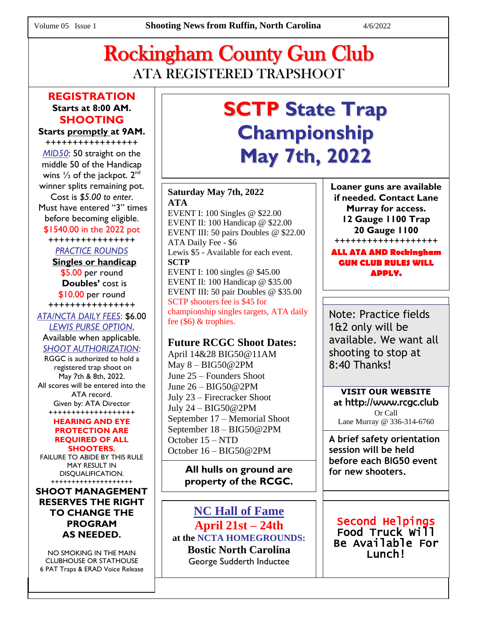## Rockingham County Gun Club ATA REGISTERED TRAPSHOOT

### **REGISTRATION Starts at 8:00 AM. SHOOTING**

### **Starts promptly at 9AM.**

+++++++++++++++++ *MID50*: 50 straight on the middle 50 of the Handicap wins  $\frac{1}{2}$  of the jackpot.  $2^{\text{nd}}$ winner splits remaining pot. Cost is *\$5.00 to enter*. Must have entered "3" times before becoming eligible. \$1540.00 in the 2022 pot

++++++++++++++++

*PRACTICE ROUNDS*

 **Singles or handicap**  \$5.00 per round  **Doubles'** cost is \$10.00 per round

++++++++++++++++ *ATA/NCTA DAILY FEES*: \$6.00 *LEWIS PURSE OPTION*, Available when applicable.

*SHOOT AUTHORIZATION:*

RGGC is authorized to hold a registered trap shoot on May 7th & 8th, 2022. All scores will be entered into the ATA record. Given by: ATA Director +++++++++++++++++++

#### **HEARING AND EYE PROTECTION ARE REQUIRED OF ALL SHOOTERS.**

FAILURE TO ABIDE BY THIS RULE MAY RESULT IN DISQUALIFICATION. ++++++++++++++++++++

### **SHOOT MANAGEMENT RESERVES THE RIGHT TO CHANGE THE PROGRAM AS NEEDED.**

NO SMOKING IN THE MAIN CLUBHOUSE OR STATHOUSE 6 PAT Traps & ERAD Voice Release

# **SCTP State Trap Championship May 7th, 2022**

**Saturday May 7th, 2022 ATA**

EVENT I: 100 Singles @ \$22.00 EVENT II: 100 Handicap @ \$22.00 EVENT III: 50 pairs Doubles @ \$22.00 ATA Daily Fee - \$6 Lewis \$5 - Available for each event. **SCTP** EVENT I: 100 singles @ \$45.00 EVENT II: 100 Handicap @ \$35.00 EVENT III: 50 pair Doubles @ \$35.00 SCTP shooters fee is \$45 for championship singles targets, ATA daily fee (\$6) & trophies.

### **Future RCGC Shoot Dates:**

April 14&28 BIG50@11AM May 8 – BIG50@2PM June 25 – Founders Shoot June 26 – BIG50@2PM July 23 – Firecracker Shoot July 24 – BIG50@2PM September 17 – Memorial Shoot September 18 – BIG50@2PM October 15 – NTD October 16 – BIG50@2PM

> **All hulls on ground are property of the RCGC.**

**NC Hall of Fame April 21st – 24th at the NCTA HOMEGROUNDS: Bostic North Carolina** George Sudderth Inductee

**Loaner guns are available if needed. Contact Lane Murray for access. 12 Gauge 1100 Trap 20 Gauge 1100** +++++++++++++++++++

### **ALL ATA AND Rockingham GUN CLUB RULES WILL APPLY.**

Note: Practice fields 1&2 only will be available. We want all shooting to stop at 8:40 Thanks!

**VISIT OUR WEBSITE at** http://www.rcgc.club Or Call Lane Murray @ 336-314-6760

**A brief safety orientation session will be held before each BIG50 event for new shooters.**

### Second Helpings Food Truck Will Be Available For Lunch!